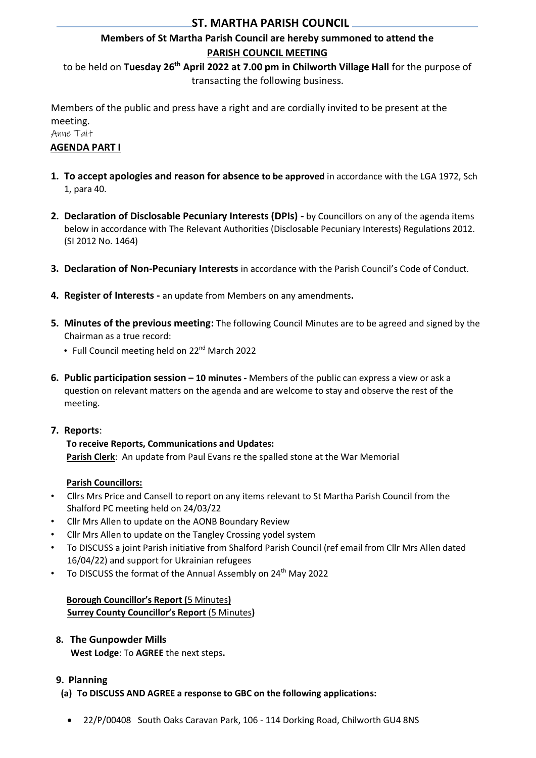## **ST. MARTHA PARISH COUNCIL**

# **Members of St Martha Parish Council are hereby summoned to attend the PARISH COUNCIL MEETING**

to be held on Tuesday 26<sup>th</sup> April 2022 at 7.00 pm in Chilworth Village Hall for the purpose of transacting the following business.

Members of the public and press have a right and are cordially invited to be present at the meeting.

Anne Tait

## **AGENDA PART I**

- **1. To accept apologies and reason for absence to be approved** in accordance with the LGA 1972, Sch 1, para 40.
- **2. Declaration of Disclosable Pecuniary Interests (DPIs) -** by Councillors on any of the agenda items below in accordance with The Relevant Authorities (Disclosable Pecuniary Interests) Regulations 2012. (SI 2012 No. 1464)
- **3. Declaration of Non-Pecuniary Interests** in accordance with the Parish Council's Code of Conduct.
- **4. Register of Interests -** an update from Members on any amendments**.**
- **5. Minutes of the previous meeting:** The following Council Minutes are to be agreed and signed by the Chairman as a true record:
	- Full Council meeting held on 22<sup>nd</sup> March 2022
- **6. Public participation session – 10 minutes -** Members of the public can express a view or ask a question on relevant matters on the agenda and are welcome to stay and observe the rest of the meeting.
- **7. Reports**:

# **To receive Reports, Communications and Updates:**

**Parish Clerk**: An update from Paul Evans re the spalled stone at the War Memorial

## **Parish Councillors:**

- Cllrs Mrs Price and Cansell to report on any items relevant to St Martha Parish Council from the Shalford PC meeting held on 24/03/22
- Cllr Mrs Allen to update on the AONB Boundary Review
- Cllr Mrs Allen to update on the Tangley Crossing yodel system
- To DISCUSS a joint Parish initiative from Shalford Parish Council (ref email from Cllr Mrs Allen dated 16/04/22) and support for Ukrainian refugees
- To DISCUSS the format of the Annual Assembly on 24<sup>th</sup> May 2022

## **Borough Councillor's Report (**5 Minutes**) Surrey County Councillor's Report** (5 Minutes**)**

**8. The Gunpowder Mills West Lodge**: To **AGREE** the next steps**.**

## **9. Planning**

- **(a) To DISCUSS AND AGREE a response to GBC on the following applications:**
- 22/P/00408 South Oaks Caravan Park, 106 114 Dorking Road, Chilworth GU4 8NS